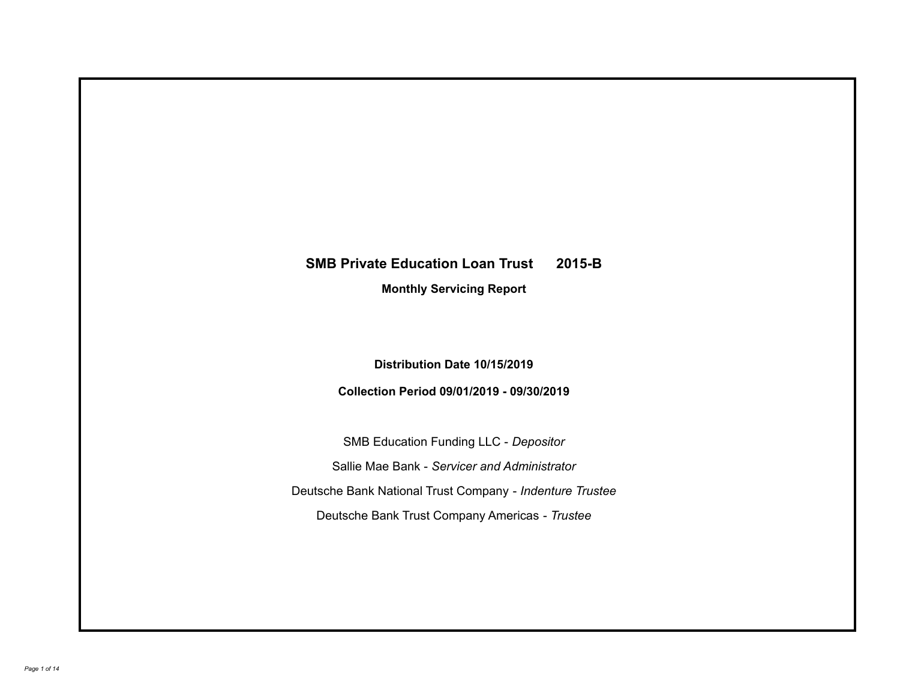# **SMB Private Education Loan Trust 2015-B**

**Monthly Servicing Report**

**Distribution Date 10/15/2019**

**Collection Period 09/01/2019 - 09/30/2019**

SMB Education Funding LLC - *Depositor* Sallie Mae Bank - *Servicer and Administrator* Deutsche Bank National Trust Company - *Indenture Trustee* Deutsche Bank Trust Company Americas - *Trustee*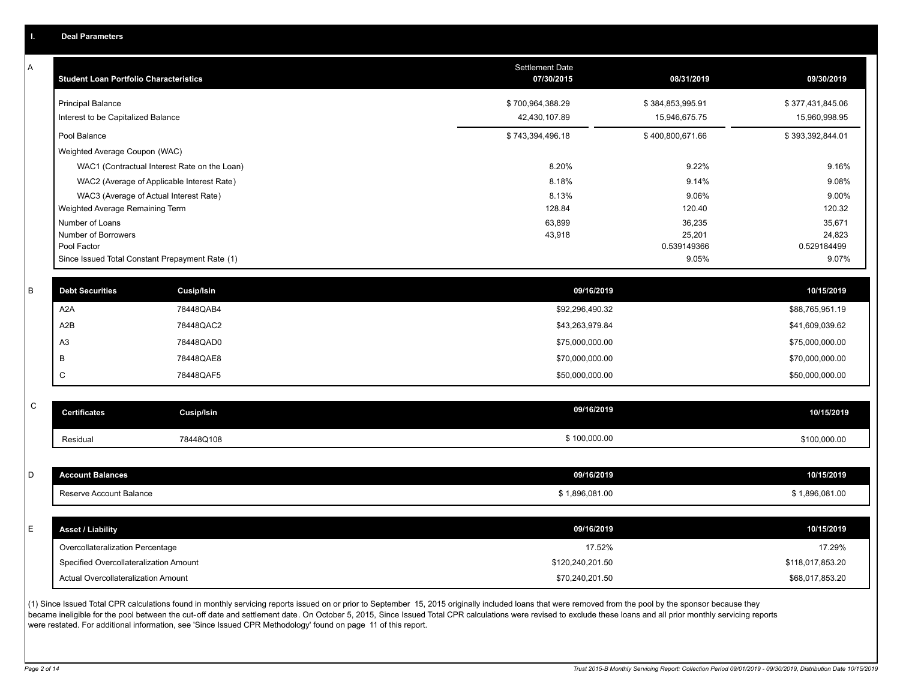|  | <b>Deal Parameters</b> |  |
|--|------------------------|--|
|  |                        |  |
|  |                        |  |

A

| <b>Student Loan Portfolio Characteristics</b>                  | <b>Settlement Date</b><br>07/30/2015 | 08/31/2019                        | 09/30/2019                        |
|----------------------------------------------------------------|--------------------------------------|-----------------------------------|-----------------------------------|
| <b>Principal Balance</b><br>Interest to be Capitalized Balance | \$700,964,388.29<br>42,430,107.89    | \$384,853,995.91<br>15,946,675.75 | \$377,431,845.06<br>15,960,998.95 |
| Pool Balance                                                   | \$743,394,496.18                     | \$400,800,671.66                  | \$393,392,844.01                  |
| Weighted Average Coupon (WAC)                                  |                                      |                                   |                                   |
| WAC1 (Contractual Interest Rate on the Loan)                   | 8.20%                                | 9.22%                             | 9.16%                             |
| WAC2 (Average of Applicable Interest Rate)                     | 8.18%                                | 9.14%                             | 9.08%                             |
| WAC3 (Average of Actual Interest Rate)                         | 8.13%                                | 9.06%                             | 9.00%                             |
| Weighted Average Remaining Term                                | 128.84                               | 120.40                            | 120.32                            |
| Number of Loans                                                | 63,899                               | 36,235                            | 35,671                            |
| Number of Borrowers                                            | 43,918                               | 25,201                            | 24,823                            |
| Pool Factor                                                    |                                      | 0.539149366                       | 0.529184499                       |
| Since Issued Total Constant Prepayment Rate (1)                |                                      | 9.05%                             | 9.07%                             |

| <b>Debt Securities</b> | <b>Cusip/Isin</b> | 09/16/2019      | 10/15/2019      |
|------------------------|-------------------|-----------------|-----------------|
| A <sub>2</sub> A       | 78448QAB4         | \$92,296,490.32 | \$88,765,951.19 |
| A2B                    | 78448QAC2         | \$43,263,979.84 | \$41,609,039.62 |
| A <sub>3</sub>         | 78448QAD0         | \$75,000,000.00 | \$75,000,000.00 |
|                        | 78448QAE8         | \$70,000,000.00 | \$70,000,000.00 |
|                        | 78448QAF5         | \$50,000,000.00 | \$50,000,000.00 |

| $\sim$<br>◡ | <b>Certificates</b> | Cusip/Isin | 09/16/2019   | 10/15/2019   |
|-------------|---------------------|------------|--------------|--------------|
|             | Residua             | 78448Q108  | \$100,000.00 | \$100,000.00 |

| D  | <b>Account Balances</b>                | 09/16/2019       | 10/15/2019       |
|----|----------------------------------------|------------------|------------------|
|    | Reserve Account Balance                | \$1,896,081.00   | \$1,896,081.00   |
|    |                                        |                  |                  |
| E. | <b>Asset / Liability</b>               | 09/16/2019       | 10/15/2019       |
|    | Overcollateralization Percentage       | 17.52%           | 17.29%           |
|    | Specified Overcollateralization Amount | \$120,240,201.50 | \$118,017,853.20 |
|    | Actual Overcollateralization Amount    | \$70,240,201.50  | \$68,017,853.20  |

(1) Since Issued Total CPR calculations found in monthly servicing reports issued on or prior to September 15, 2015 originally included loans that were removed from the pool by the sponsor because they became ineligible for the pool between the cut-off date and settlement date. On October 5, 2015, Since Issued Total CPR calculations were revised to exclude these loans and all prior monthly servicing reports were restated. For additional information, see 'Since Issued CPR Methodology' found on page 11 of this report.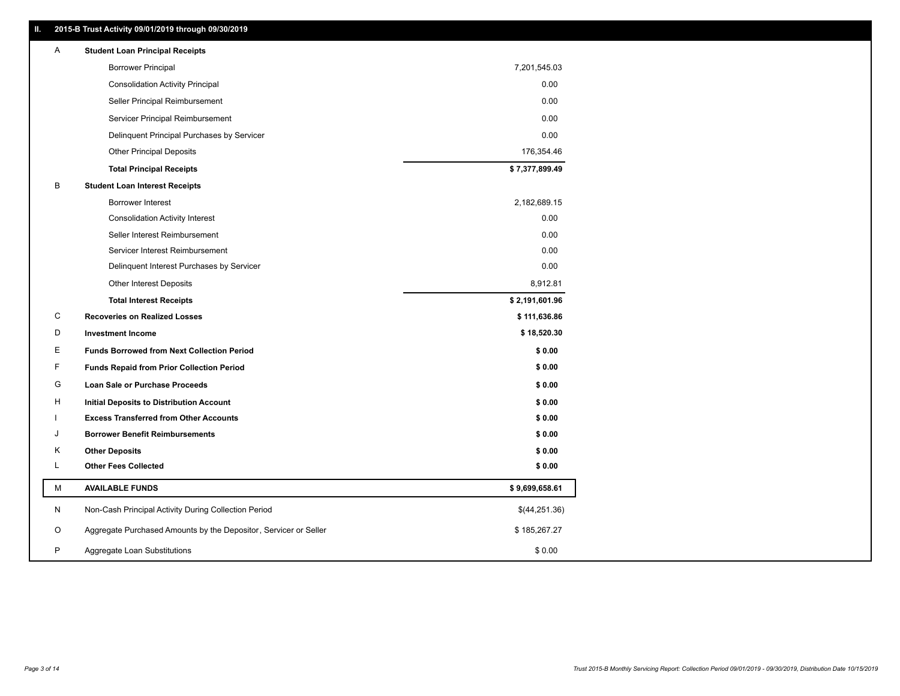| Ш. | 2015-B Trust Activity 09/01/2019 through 09/30/2019              |                |
|----|------------------------------------------------------------------|----------------|
| A  | <b>Student Loan Principal Receipts</b>                           |                |
|    | <b>Borrower Principal</b>                                        | 7,201,545.03   |
|    | Consolidation Activity Principal                                 | 0.00           |
|    | Seller Principal Reimbursement                                   | 0.00           |
|    | Servicer Principal Reimbursement                                 | 0.00           |
|    | Delinquent Principal Purchases by Servicer                       | 0.00           |
|    | <b>Other Principal Deposits</b>                                  | 176,354.46     |
|    | <b>Total Principal Receipts</b>                                  | \$7,377,899.49 |
| В  | <b>Student Loan Interest Receipts</b>                            |                |
|    | <b>Borrower Interest</b>                                         | 2,182,689.15   |
|    | <b>Consolidation Activity Interest</b>                           | 0.00           |
|    | Seller Interest Reimbursement                                    | 0.00           |
|    | Servicer Interest Reimbursement                                  | 0.00           |
|    | Delinquent Interest Purchases by Servicer                        | 0.00           |
|    | <b>Other Interest Deposits</b>                                   | 8,912.81       |
|    | <b>Total Interest Receipts</b>                                   | \$2,191,601.96 |
| C  | <b>Recoveries on Realized Losses</b>                             | \$111,636.86   |
| D  | <b>Investment Income</b>                                         | \$18,520.30    |
| Е  | <b>Funds Borrowed from Next Collection Period</b>                | \$0.00         |
| F  | <b>Funds Repaid from Prior Collection Period</b>                 | \$0.00         |
| G  | Loan Sale or Purchase Proceeds                                   | \$0.00         |
| н  | Initial Deposits to Distribution Account                         | \$0.00         |
|    | <b>Excess Transferred from Other Accounts</b>                    | \$0.00         |
| J  | <b>Borrower Benefit Reimbursements</b>                           | \$0.00         |
| Κ  | <b>Other Deposits</b>                                            | \$0.00         |
| L  | <b>Other Fees Collected</b>                                      | \$0.00         |
| М  | <b>AVAILABLE FUNDS</b>                                           | \$9,699,658.61 |
| N  | Non-Cash Principal Activity During Collection Period             | \$(44,251.36)  |
| O  | Aggregate Purchased Amounts by the Depositor, Servicer or Seller | \$185,267.27   |
|    |                                                                  |                |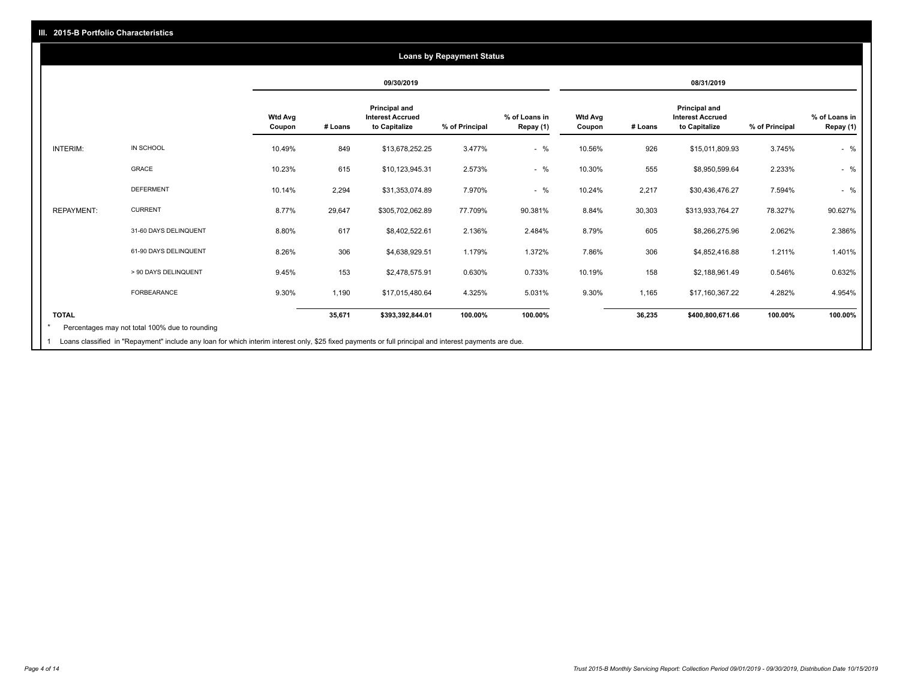#### **09/30/2019 08/31/2019 Wtd Avg Coupon # Loans Principal and Interest Accrued to Capitalize % of Principal % of Loans in Repay (1) Wtd Avg Coupon # Loans Principal and Interest Accrued to Capitalize % of Principal % of Loans in Repay (1)**  INTERIM: IN SCHOOL 10.49% 849 \$13,678,252.25 3.477% - % 10.56% 926 \$15,011,809.93 3.745% - % GRACE 10.23% 615 \$10,123,945.31 2.573% - % 10.30% 555 \$8,950,599.64 2.233% - % DEFERMENT 10.14% 2,294 \$31,353,074.89 7.970% - % 10.24% 2,217 \$30,436,476.27 7.594% - % REPAYMENT: CURRENT 8.77% 29,647 \$305,702,062.89 77.709% 90.381% 8.84% 30,303 \$313,933,764.27 78.327% 90.627% 31-60 DAYS DELINQUENT 8.80% 617 \$8,402,522.61 2.136% 2.484% 8.79% 605 \$8,266,275.96 2.062% 2.386% 61-90 DAYS DELINQUENT 8.26% 306 \$4,638,929.51 1.179% 1.372% 7.86% 306 \$4,852,416.88 1.211% 1.401% > 90 DAYS DELINQUENT 9.45% 153 \$2,478,575.91 0.630% 0.733% 10.19% 158 \$2,188,961.49 0.546% 0.632% FORBEARANCE 9.30% 1,190 \$17,015,480.64 4.325% 5.031% 9.30% 1,165 \$17,160,367.22 4.282% 4.954% **TOTAL 35,671 \$393,392,844.01 100.00% 100.00% 36,235 \$400,800,671.66 100.00% 100.00% Loans by Repayment Status** Percentages may not total 100% due to rounding \*

1 Loans classified in "Repayment" include any loan for which interim interest only, \$25 fixed payments or full principal and interest payments are due.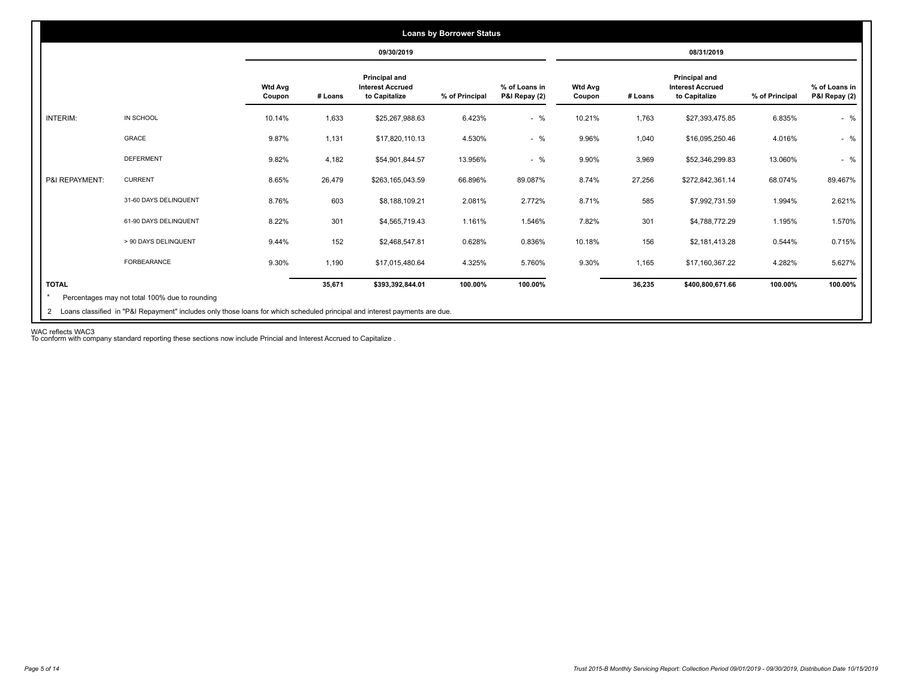|                 |                       |                          |         | 09/30/2019                                                       |                |                                |                          |         | 08/31/2019                                                |                |                                |
|-----------------|-----------------------|--------------------------|---------|------------------------------------------------------------------|----------------|--------------------------------|--------------------------|---------|-----------------------------------------------------------|----------------|--------------------------------|
|                 |                       | <b>Wtd Avg</b><br>Coupon | # Loans | <b>Principal and</b><br><b>Interest Accrued</b><br>to Capitalize | % of Principal | % of Loans in<br>P&I Repay (2) | <b>Wtd Avg</b><br>Coupon | # Loans | Principal and<br><b>Interest Accrued</b><br>to Capitalize | % of Principal | % of Loans in<br>P&I Repay (2) |
| <b>INTERIM:</b> | IN SCHOOL             | 10.14%                   | 1,633   | \$25,267,988.63                                                  | 6.423%         | $-$ %                          | 10.21%                   | 1,763   | \$27,393,475.85                                           | 6.835%         | $-$ %                          |
|                 | GRACE                 | 9.87%                    | 1,131   | \$17,820,110.13                                                  | 4.530%         | $-$ %                          | 9.96%                    | 1,040   | \$16,095,250.46                                           | 4.016%         | $-$ %                          |
|                 | <b>DEFERMENT</b>      | 9.82%                    | 4,182   | \$54,901,844.57                                                  | 13.956%        | $-$ %                          | 9.90%                    | 3,969   | \$52,346,299.83                                           | 13.060%        | $-$ %                          |
| P&I REPAYMENT:  | <b>CURRENT</b>        | 8.65%                    | 26,479  | \$263,165,043.59                                                 | 66.896%        | 89.087%                        | 8.74%                    | 27,256  | \$272,842,361.14                                          | 68.074%        | 89.467%                        |
|                 | 31-60 DAYS DELINQUENT | 8.76%                    | 603     | \$8,188,109.21                                                   | 2.081%         | 2.772%                         | 8.71%                    | 585     | \$7,992,731.59                                            | 1.994%         | 2.621%                         |
|                 | 61-90 DAYS DELINQUENT | 8.22%                    | 301     | \$4,565,719.43                                                   | 1.161%         | 1.546%                         | 7.82%                    | 301     | \$4,788,772.29                                            | 1.195%         | 1.570%                         |
|                 | > 90 DAYS DELINQUENT  | 9.44%                    | 152     | \$2,468,547.81                                                   | 0.628%         | 0.836%                         | 10.18%                   | 156     | \$2,181,413.28                                            | 0.544%         | 0.715%                         |
|                 | <b>FORBEARANCE</b>    | 9.30%                    | 1,190   | \$17,015,480.64                                                  | 4.325%         | 5.760%                         | 9.30%                    | 1,165   | \$17,160,367.22                                           | 4.282%         | 5.627%                         |
| <b>TOTAL</b>    |                       |                          | 35,671  | \$393,392,844.01                                                 | 100.00%        | 100.00%                        |                          | 36,235  | \$400,800,671.66                                          | 100.00%        | 100.00%                        |

WAC reflects WAC3 To conform with company standard reporting these sections now include Princial and Interest Accrued to Capitalize .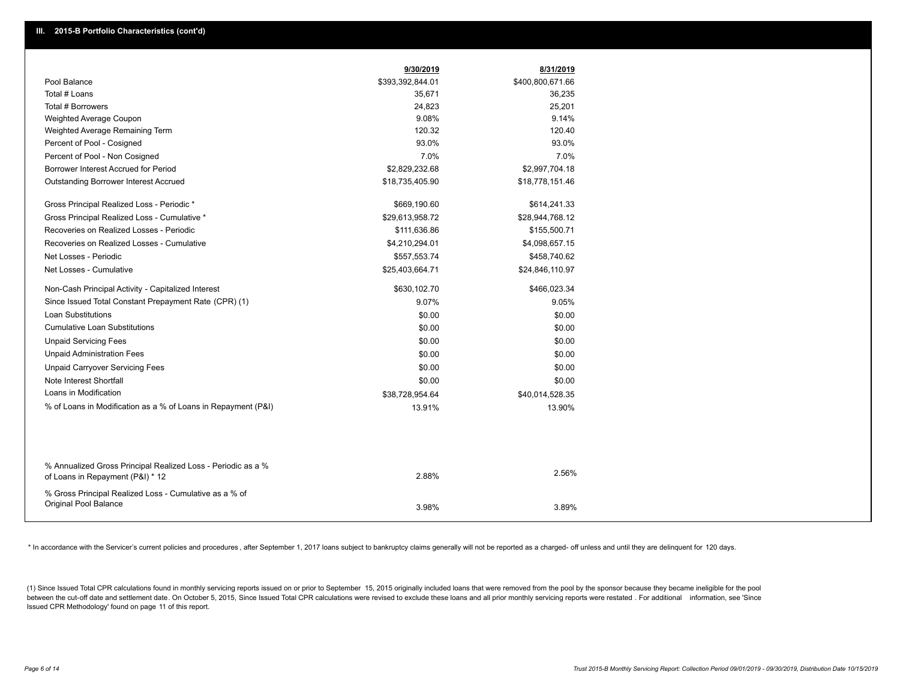|                                                                                                  | 9/30/2019        | 8/31/2019        |  |
|--------------------------------------------------------------------------------------------------|------------------|------------------|--|
| Pool Balance                                                                                     | \$393,392,844.01 | \$400,800,671.66 |  |
| Total # Loans                                                                                    | 35,671           | 36,235           |  |
| Total # Borrowers                                                                                | 24,823           | 25,201           |  |
| Weighted Average Coupon                                                                          | 9.08%            | 9.14%            |  |
| Weighted Average Remaining Term                                                                  | 120.32           | 120.40           |  |
| Percent of Pool - Cosigned                                                                       | 93.0%            | 93.0%            |  |
| Percent of Pool - Non Cosigned                                                                   | 7.0%             | 7.0%             |  |
| Borrower Interest Accrued for Period                                                             | \$2,829,232.68   | \$2,997,704.18   |  |
| Outstanding Borrower Interest Accrued                                                            | \$18,735,405.90  | \$18,778,151.46  |  |
| Gross Principal Realized Loss - Periodic *                                                       | \$669,190.60     | \$614,241.33     |  |
| Gross Principal Realized Loss - Cumulative *                                                     | \$29,613,958.72  | \$28,944,768.12  |  |
| Recoveries on Realized Losses - Periodic                                                         | \$111,636.86     | \$155,500.71     |  |
| Recoveries on Realized Losses - Cumulative                                                       | \$4,210,294.01   | \$4,098,657.15   |  |
| Net Losses - Periodic                                                                            | \$557,553.74     | \$458,740.62     |  |
| Net Losses - Cumulative                                                                          | \$25,403,664.71  | \$24,846,110.97  |  |
| Non-Cash Principal Activity - Capitalized Interest                                               | \$630,102.70     | \$466,023.34     |  |
| Since Issued Total Constant Prepayment Rate (CPR) (1)                                            | 9.07%            | 9.05%            |  |
| <b>Loan Substitutions</b>                                                                        | \$0.00           | \$0.00           |  |
| <b>Cumulative Loan Substitutions</b>                                                             | \$0.00           | \$0.00           |  |
| <b>Unpaid Servicing Fees</b>                                                                     | \$0.00           | \$0.00           |  |
| <b>Unpaid Administration Fees</b>                                                                | \$0.00           | \$0.00           |  |
| <b>Unpaid Carryover Servicing Fees</b>                                                           | \$0.00           | \$0.00           |  |
| Note Interest Shortfall                                                                          | \$0.00           | \$0.00           |  |
| Loans in Modification                                                                            | \$38,728,954.64  | \$40,014,528.35  |  |
| % of Loans in Modification as a % of Loans in Repayment (P&I)                                    | 13.91%           | 13.90%           |  |
|                                                                                                  |                  |                  |  |
| % Annualized Gross Principal Realized Loss - Periodic as a %<br>of Loans in Repayment (P&I) * 12 | 2.88%            | 2.56%            |  |
| % Gross Principal Realized Loss - Cumulative as a % of<br>Original Pool Balance                  | 3.98%            | 3.89%            |  |

\* In accordance with the Servicer's current policies and procedures, after September 1, 2017 loans subject to bankruptcy claims generally will not be reported as a charged- off unless and until they are delinguent for 120

(1) Since Issued Total CPR calculations found in monthly servicing reports issued on or prior to September 15, 2015 originally included loans that were removed from the pool by the sponsor because they became ineligible fo between the cut-off date and settlement date. On October 5, 2015, Since Issued Total CPR calculations were revised to exclude these loans and all prior monthly servicing reports were restated. For additional information, s Issued CPR Methodology' found on page 11 of this report.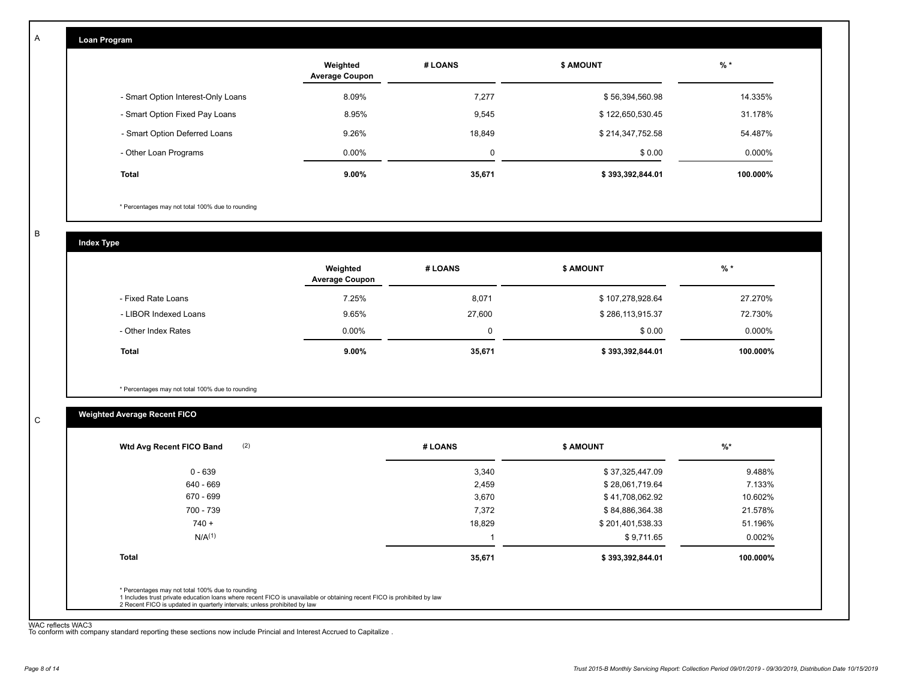| Loan Program                       |                                   |         |                  |          |
|------------------------------------|-----------------------------------|---------|------------------|----------|
|                                    | Weighted<br><b>Average Coupon</b> | # LOANS | <b>\$ AMOUNT</b> | $%$ *    |
| - Smart Option Interest-Only Loans | 8.09%                             | 7,277   | \$56,394,560.98  | 14.335%  |
| - Smart Option Fixed Pay Loans     | 8.95%                             | 9,545   | \$122,650,530.45 | 31.178%  |
| - Smart Option Deferred Loans      | 9.26%                             | 18,849  | \$214,347,752.58 | 54.487%  |
| - Other Loan Programs              | $0.00\%$                          | 0       | \$0.00           | 0.000%   |
| <b>Total</b>                       | $9.00\%$                          | 35,671  | \$393,392,844.01 | 100.000% |

\* Percentages may not total 100% due to rounding

B

C

A

**Index Type**

|                       | Weighted<br><b>Average Coupon</b> | # LOANS | <b>S AMOUNT</b>  | $%$ *    |
|-----------------------|-----------------------------------|---------|------------------|----------|
| - Fixed Rate Loans    | 7.25%                             | 8,071   | \$107,278,928.64 | 27.270%  |
| - LIBOR Indexed Loans | 9.65%                             | 27,600  | \$286,113,915.37 | 72.730%  |
| - Other Index Rates   | $0.00\%$                          | 0       | \$0.00           | 0.000%   |
| <b>Total</b>          | $9.00\%$                          | 35,671  | \$393,392,844.01 | 100.000% |

\* Percentages may not total 100% due to rounding

# **Weighted Average Recent FICO**

| 3,340<br>2,459<br>3,670 | \$37,325,447.09<br>\$28,061,719.64<br>\$41,708,062.92 | 9.488%<br>7.133% |
|-------------------------|-------------------------------------------------------|------------------|
|                         |                                                       |                  |
|                         |                                                       |                  |
|                         |                                                       | 10.602%          |
| 7,372                   | \$84,886,364.38                                       | 21.578%          |
| 18,829                  | \$201,401,538.33                                      | 51.196%          |
|                         | \$9,711.65                                            | 0.002%           |
| 35,671                  | \$393,392,844.01                                      | 100.000%         |
|                         |                                                       |                  |

WAC reflects WAC3 To conform with company standard reporting these sections now include Princial and Interest Accrued to Capitalize .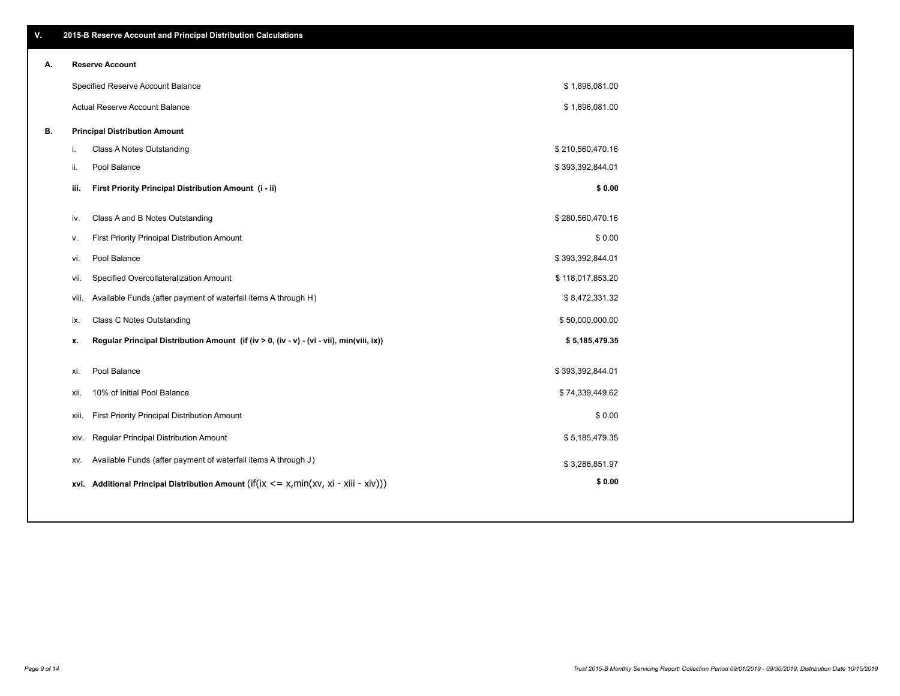| А. |     | <b>Reserve Account</b>               |
|----|-----|--------------------------------------|
|    |     | Specified Reserve Account Balance    |
|    |     | Actual Reserve Account Balance       |
| В. |     | <b>Principal Distribution Amount</b> |
|    | i.  | Class A Notes Outstanding            |
|    | ii. | Pool Balance                         |
|    |     |                                      |

| iii.  | First Priority Principal Distribution Amount (i - ii)                                       | \$0.00           |  |
|-------|---------------------------------------------------------------------------------------------|------------------|--|
| iv.   | Class A and B Notes Outstanding                                                             | \$280,560,470.16 |  |
| V.    | First Priority Principal Distribution Amount                                                | \$0.00           |  |
| vi.   | Pool Balance                                                                                | \$393,392,844.01 |  |
| vii.  | Specified Overcollateralization Amount                                                      | \$118,017,853.20 |  |
| VIII. | Available Funds (after payment of waterfall items A through H)                              | \$8,472,331.32   |  |
| ix.   | <b>Class C Notes Outstanding</b>                                                            | \$50,000,000.00  |  |
| х.    | Regular Principal Distribution Amount (if (iv > 0, (iv - v) - (vi - vii), min(viii, ix))    | \$5,185,479.35   |  |
| xi.   | Pool Balance                                                                                | \$393,392,844.01 |  |
| xii.  | 10% of Initial Pool Balance                                                                 | \$74,339,449.62  |  |
| xiii. | First Priority Principal Distribution Amount                                                | \$0.00           |  |
| xiv.  | Regular Principal Distribution Amount                                                       | \$5,185,479.35   |  |
| XV.   | Available Funds (after payment of waterfall items A through J)                              | \$3,286,851.97   |  |
|       | xvi. Additional Principal Distribution Amount (if(ix $\leq$ = x, min(xv, xi - xiii - xiv))) | \$0.00           |  |

\$ 1,896,081.00 \$ 1,896,081.00

 $$210,560,470.16$  $$393,392,844.01$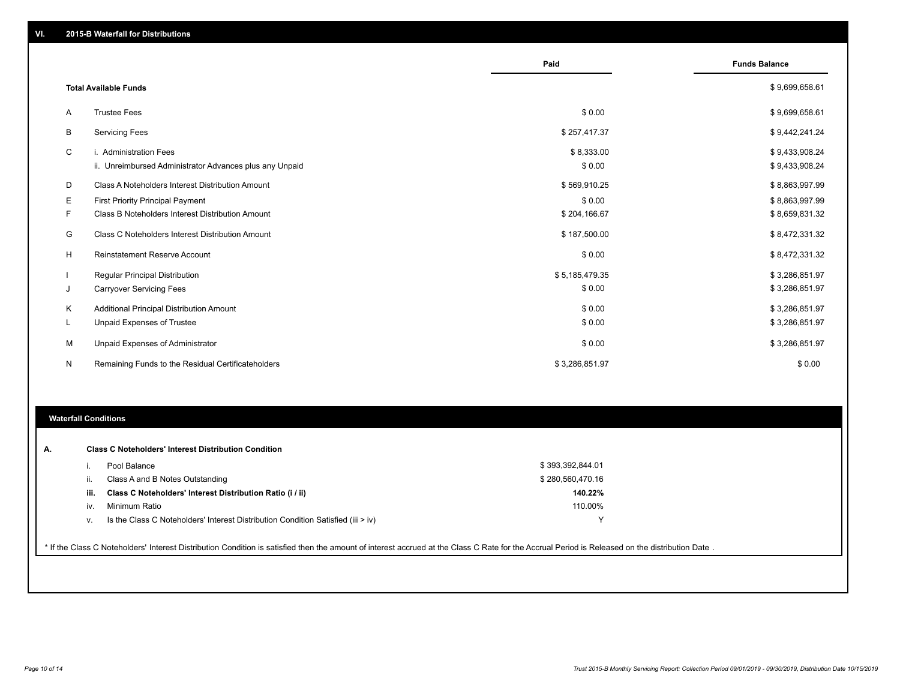|    |                                                                                   | Paid                 | <b>Funds Balance</b>             |
|----|-----------------------------------------------------------------------------------|----------------------|----------------------------------|
|    | <b>Total Available Funds</b>                                                      |                      | \$9,699,658.61                   |
| A  | <b>Trustee Fees</b>                                                               | \$0.00               | \$9,699,658.61                   |
| В  | <b>Servicing Fees</b>                                                             | \$257,417.37         | \$9,442,241.24                   |
| C  | i. Administration Fees<br>ii. Unreimbursed Administrator Advances plus any Unpaid | \$8,333.00<br>\$0.00 | \$9,433,908.24<br>\$9,433,908.24 |
| D  | Class A Noteholders Interest Distribution Amount                                  | \$569,910.25         | \$8,863,997.99                   |
| Е  | <b>First Priority Principal Payment</b>                                           | \$0.00               | \$8,863,997.99                   |
| F. | Class B Noteholders Interest Distribution Amount                                  | \$204,166.67         | \$8,659,831.32                   |
| G  | Class C Noteholders Interest Distribution Amount                                  | \$187,500.00         | \$8,472,331.32                   |
| H  | <b>Reinstatement Reserve Account</b>                                              | \$0.00               | \$8,472,331.32                   |
|    | Regular Principal Distribution                                                    | \$5,185,479.35       | \$3,286,851.97                   |
| J  | <b>Carryover Servicing Fees</b>                                                   | \$0.00               | \$3,286,851.97                   |
| Κ  | Additional Principal Distribution Amount                                          | \$0.00               | \$3,286,851.97                   |
| L. | Unpaid Expenses of Trustee                                                        | \$0.00               | \$3,286,851.97                   |
| М  | Unpaid Expenses of Administrator                                                  | \$0.00               | \$3,286,851.97                   |
| N  | Remaining Funds to the Residual Certificateholders                                | \$3,286,851.97       | \$0.00                           |

#### **Waterfall Conditions**

| А. |      | <b>Class C Noteholders' Interest Distribution Condition</b>                      |                  |  |
|----|------|----------------------------------------------------------------------------------|------------------|--|
|    |      | Pool Balance                                                                     | \$393,392,844.01 |  |
|    | Iİ.  | Class A and B Notes Outstanding                                                  | \$280,560,470.16 |  |
|    | iii. | Class C Noteholders' Interest Distribution Ratio (i / ii)                        | 140.22%          |  |
|    | iv.  | Minimum Ratio                                                                    | 110.00%          |  |
|    | v.   | Is the Class C Noteholders' Interest Distribution Condition Satisfied (iii > iv) | v                |  |

\* If the Class C Noteholders' Interest Distribution Condition is satisfied then the amount of interest accrued at the Class C Rate for the Accrual Period is Released on the distribution Date .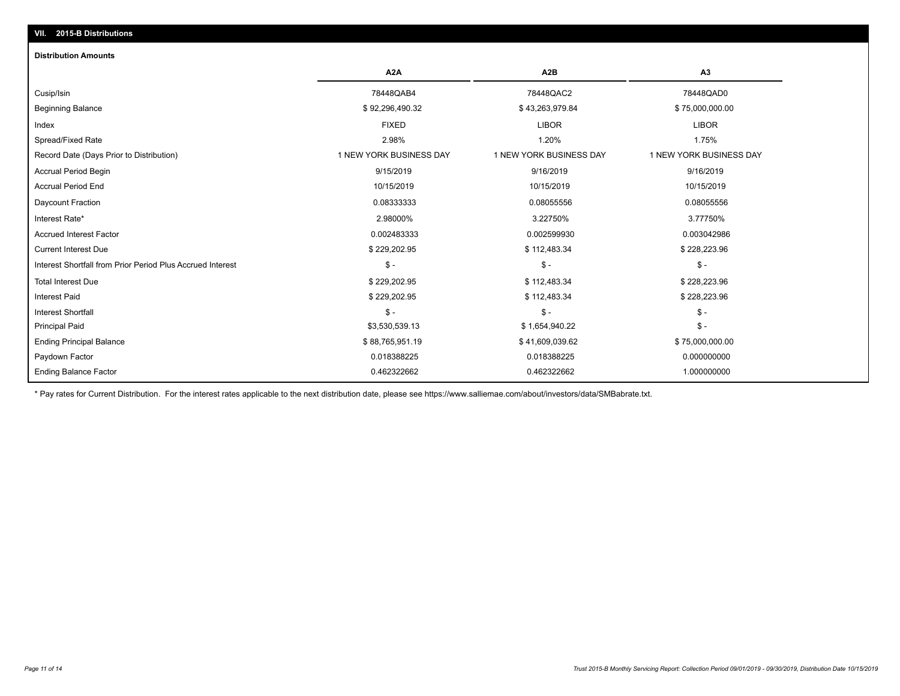# **VII. 2015-B Distributions**

#### **Distribution Amounts**

|                                                            | A <sub>2</sub> A        | A <sub>2</sub> B        | A <sub>3</sub>          |
|------------------------------------------------------------|-------------------------|-------------------------|-------------------------|
| Cusip/Isin                                                 | 78448QAB4               | 78448QAC2               | 78448QAD0               |
| <b>Beginning Balance</b>                                   | \$92,296,490.32         | \$43,263,979.84         | \$75,000,000.00         |
| Index                                                      | <b>FIXED</b>            | <b>LIBOR</b>            | <b>LIBOR</b>            |
| Spread/Fixed Rate                                          | 2.98%                   | 1.20%                   | 1.75%                   |
| Record Date (Days Prior to Distribution)                   | 1 NEW YORK BUSINESS DAY | 1 NEW YORK BUSINESS DAY | 1 NEW YORK BUSINESS DAY |
| Accrual Period Begin                                       | 9/15/2019               | 9/16/2019               | 9/16/2019               |
| <b>Accrual Period End</b>                                  | 10/15/2019              | 10/15/2019              | 10/15/2019              |
| Daycount Fraction                                          | 0.08333333              | 0.08055556              | 0.08055556              |
| Interest Rate*                                             | 2.98000%                | 3.22750%                | 3.77750%                |
| <b>Accrued Interest Factor</b>                             | 0.002483333             | 0.002599930             | 0.003042986             |
| <b>Current Interest Due</b>                                | \$229,202.95            | \$112,483.34            | \$228,223.96            |
| Interest Shortfall from Prior Period Plus Accrued Interest | $$ -$                   | $$ -$                   | $\frac{1}{2}$           |
| <b>Total Interest Due</b>                                  | \$229,202.95            | \$112,483.34            | \$228,223.96            |
| <b>Interest Paid</b>                                       | \$229,202.95            | \$112,483.34            | \$228,223.96            |
| <b>Interest Shortfall</b>                                  | $$ -$                   | $$ -$                   | $\mathsf{\$}$ -         |
| <b>Principal Paid</b>                                      | \$3,530,539.13          | \$1,654,940.22          | $\frac{1}{2}$           |
| <b>Ending Principal Balance</b>                            | \$88,765,951.19         | \$41,609,039.62         | \$75,000,000.00         |
| Paydown Factor                                             | 0.018388225             | 0.018388225             | 0.000000000             |
| <b>Ending Balance Factor</b>                               | 0.462322662             | 0.462322662             | 1.000000000             |

\* Pay rates for Current Distribution. For the interest rates applicable to the next distribution date, please see https://www.salliemae.com/about/investors/data/SMBabrate.txt.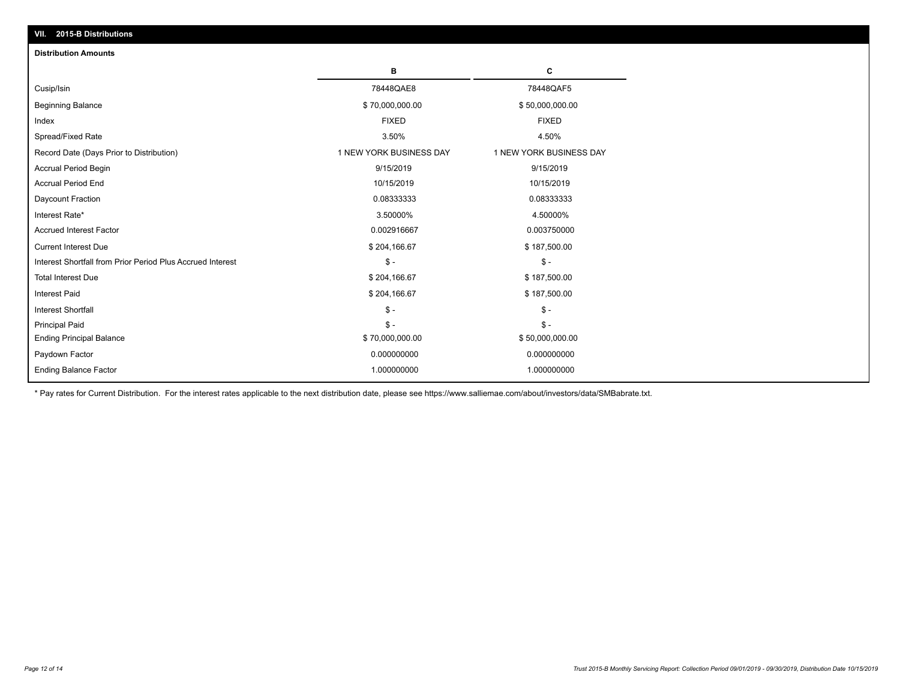| VII. 2015-B Distributions                                  |                         |                         |
|------------------------------------------------------------|-------------------------|-------------------------|
| <b>Distribution Amounts</b>                                |                         |                         |
|                                                            | в                       | C                       |
| Cusip/Isin                                                 | 78448QAE8               | 78448QAF5               |
| <b>Beginning Balance</b>                                   | \$70,000,000.00         | \$50,000,000.00         |
| Index                                                      | <b>FIXED</b>            | <b>FIXED</b>            |
| Spread/Fixed Rate                                          | 3.50%                   | 4.50%                   |
| Record Date (Days Prior to Distribution)                   | 1 NEW YORK BUSINESS DAY | 1 NEW YORK BUSINESS DAY |
| <b>Accrual Period Begin</b>                                | 9/15/2019               | 9/15/2019               |
| <b>Accrual Period End</b>                                  | 10/15/2019              | 10/15/2019              |
| Daycount Fraction                                          | 0.08333333              | 0.08333333              |
| Interest Rate*                                             | 3.50000%                | 4.50000%                |
| <b>Accrued Interest Factor</b>                             | 0.002916667             | 0.003750000             |
| <b>Current Interest Due</b>                                | \$204,166.67            | \$187,500.00            |
| Interest Shortfall from Prior Period Plus Accrued Interest | $\mathsf{\$}$ -         | $\mathcal{S}$ -         |
| <b>Total Interest Due</b>                                  | \$204,166.67            | \$187,500.00            |
| <b>Interest Paid</b>                                       | \$204,166.67            | \$187,500.00            |
| <b>Interest Shortfall</b>                                  | \$-                     | $\mathcal{S}$ -         |
| <b>Principal Paid</b>                                      | $$ -$                   | $\mathsf{\$}$ -         |
| <b>Ending Principal Balance</b>                            | \$70,000,000.00         | \$50,000,000.00         |
| Paydown Factor                                             | 0.000000000             | 0.000000000             |
| <b>Ending Balance Factor</b>                               | 1.000000000             | 1.000000000             |

\* Pay rates for Current Distribution. For the interest rates applicable to the next distribution date, please see https://www.salliemae.com/about/investors/data/SMBabrate.txt.